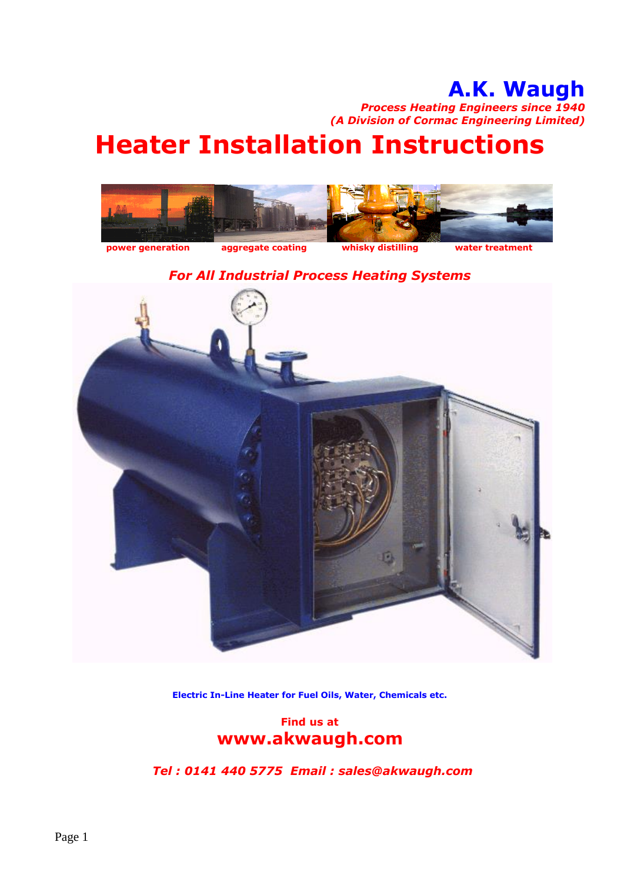## **A.K. Waugh**

*Process Heating Engineers since 1940 (A Division of Cormac Engineering Limited)*

## **Heater Installation Instructions**



## *For All Industrial Process Heating Systems*



**Electric In-Line Heater for Fuel Oils, Water, Chemicals etc.**

## **Find us at www.akwaugh.com**

*Tel : 0141 440 5775 Email : sales@akwaugh.com*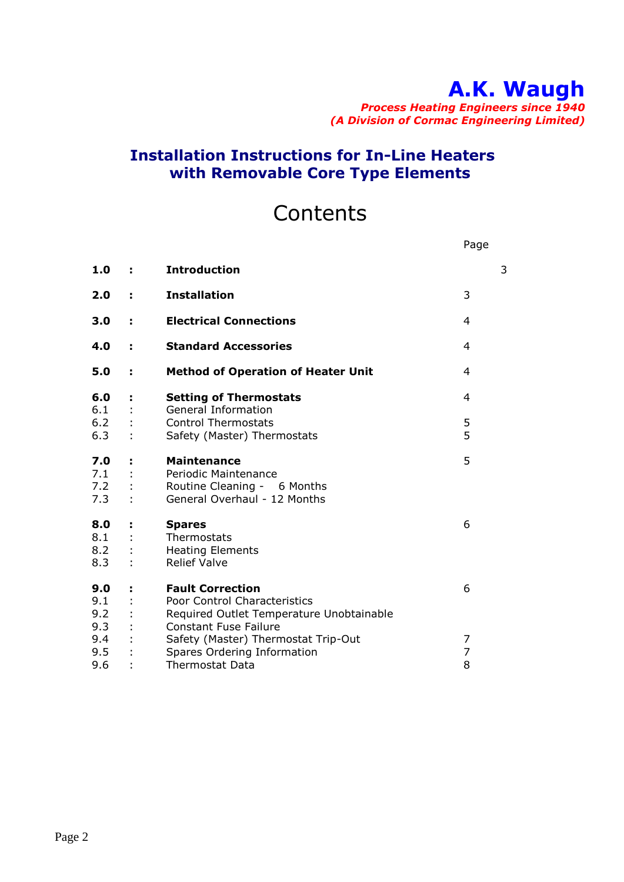# **A.K. Waugh**

*Process Heating Engineers since 1940 (A Division of Cormac Engineering Limited)*

Page

## **Installation Instructions for In-Line Heaters with Removable Core Type Elements**

## **Contents**

| 1.0        | ÷. | <b>Introduction</b>                                                      | 3 |
|------------|----|--------------------------------------------------------------------------|---|
| 2.0        | ÷. | <b>Installation</b>                                                      | 3 |
| 3.0        | ÷. | <b>Electrical Connections</b>                                            | 4 |
| 4.0        | t, | <b>Standard Accessories</b>                                              | 4 |
| 5.0        | t, | <b>Method of Operation of Heater Unit</b>                                | 4 |
| 6.0<br>6.1 | t, | <b>Setting of Thermostats</b><br><b>General Information</b>              | 4 |
| 6.2        |    | <b>Control Thermostats</b>                                               | 5 |
| 6.3        |    | Safety (Master) Thermostats                                              | 5 |
| 7.0        | ÷. | <b>Maintenance</b>                                                       | 5 |
| 7.1        |    | Periodic Maintenance                                                     |   |
| 7.2<br>7.3 |    | Routine Cleaning - 6 Months<br>General Overhaul - 12 Months              |   |
| 8.0        | t, | <b>Spares</b>                                                            | 6 |
| 8.1        |    | Thermostats                                                              |   |
| 8.2<br>8.3 |    | <b>Heating Elements</b><br><b>Relief Valve</b>                           |   |
|            |    |                                                                          |   |
| 9.0        | t, | <b>Fault Correction</b>                                                  | 6 |
| 9.1        |    | Poor Control Characteristics                                             |   |
| 9.2<br>9.3 |    | Required Outlet Temperature Unobtainable<br><b>Constant Fuse Failure</b> |   |
| 9.4        |    | Safety (Master) Thermostat Trip-Out                                      | 7 |
| 9.5        |    | Spares Ordering Information                                              | 7 |
| 9.6        |    | <b>Thermostat Data</b>                                                   | 8 |
|            |    |                                                                          |   |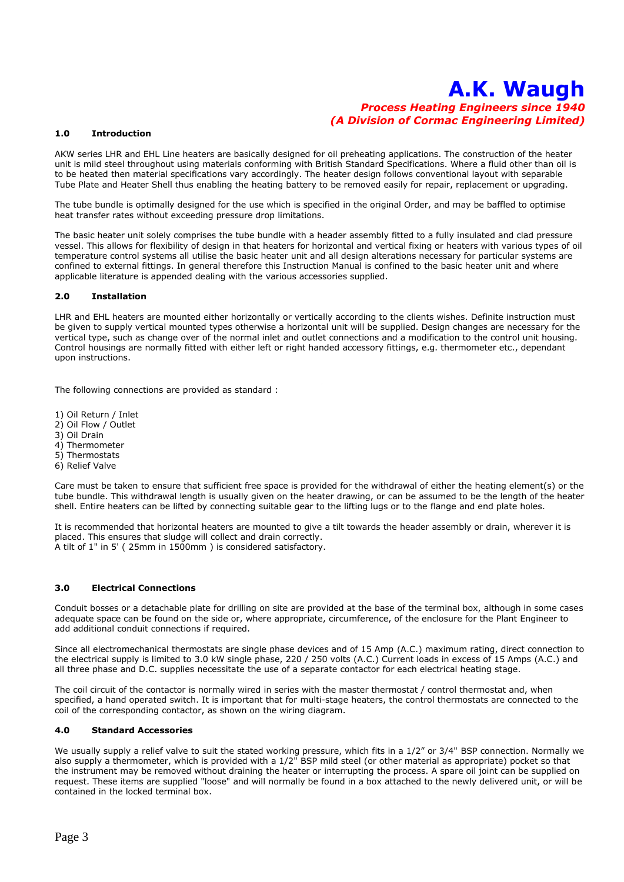#### **1.0 Introduction**

AKW series LHR and EHL Line heaters are basically designed for oil preheating applications. The construction of the heater unit is mild steel throughout using materials conforming with British Standard Specifications. Where a fluid other than oil is to be heated then material specifications vary accordingly. The heater design follows conventional layout with separable Tube Plate and Heater Shell thus enabling the heating battery to be removed easily for repair, replacement or upgrading.

The tube bundle is optimally designed for the use which is specified in the original Order, and may be baffled to optimise heat transfer rates without exceeding pressure drop limitations.

The basic heater unit solely comprises the tube bundle with a header assembly fitted to a fully insulated and clad pressure vessel. This allows for flexibility of design in that heaters for horizontal and vertical fixing or heaters with various types of oil temperature control systems all utilise the basic heater unit and all design alterations necessary for particular systems are confined to external fittings. In general therefore this Instruction Manual is confined to the basic heater unit and where applicable literature is appended dealing with the various accessories supplied.

#### **2.0 Installation**

LHR and EHL heaters are mounted either horizontally or vertically according to the clients wishes. Definite instruction must be given to supply vertical mounted types otherwise a horizontal unit will be supplied. Design changes are necessary for the vertical type, such as change over of the normal inlet and outlet connections and a modification to the control unit housing. Control housings are normally fitted with either left or right handed accessory fittings, e.g. thermometer etc., dependant upon instructions.

The following connections are provided as standard :

1) Oil Return / Inlet

- 2) Oil Flow / Outlet
- 3) Oil Drain
- 4) Thermometer
- 5) Thermostats
- 6) Relief Valve

Care must be taken to ensure that sufficient free space is provided for the withdrawal of either the heating element(s) or the tube bundle. This withdrawal length is usually given on the heater drawing, or can be assumed to be the length of the heater shell. Entire heaters can be lifted by connecting suitable gear to the lifting lugs or to the flange and end plate holes.

It is recommended that horizontal heaters are mounted to give a tilt towards the header assembly or drain, wherever it is placed. This ensures that sludge will collect and drain correctly. A tilt of 1" in 5' ( 25mm in 1500mm ) is considered satisfactory.

#### **3.0 Electrical Connections**

Conduit bosses or a detachable plate for drilling on site are provided at the base of the terminal box, although in some cases adequate space can be found on the side or, where appropriate, circumference, of the enclosure for the Plant Engineer to add additional conduit connections if required.

Since all electromechanical thermostats are single phase devices and of 15 Amp (A.C.) maximum rating, direct connection to the electrical supply is limited to 3.0 kW single phase, 220 / 250 volts (A.C.) Current loads in excess of 15 Amps (A.C.) and all three phase and D.C. supplies necessitate the use of a separate contactor for each electrical heating stage.

The coil circuit of the contactor is normally wired in series with the master thermostat / control thermostat and, when specified, a hand operated switch. It is important that for multi-stage heaters, the control thermostats are connected to the coil of the corresponding contactor, as shown on the wiring diagram.

#### **4.0 Standard Accessories**

We usually supply a relief valve to suit the stated working pressure, which fits in a 1/2" or 3/4" BSP connection. Normally we also supply a thermometer, which is provided with a 1/2" BSP mild steel (or other material as appropriate) pocket so that the instrument may be removed without draining the heater or interrupting the process. A spare oil joint can be supplied on request. These items are supplied "loose" and will normally be found in a box attached to the newly delivered unit, or will be contained in the locked terminal box.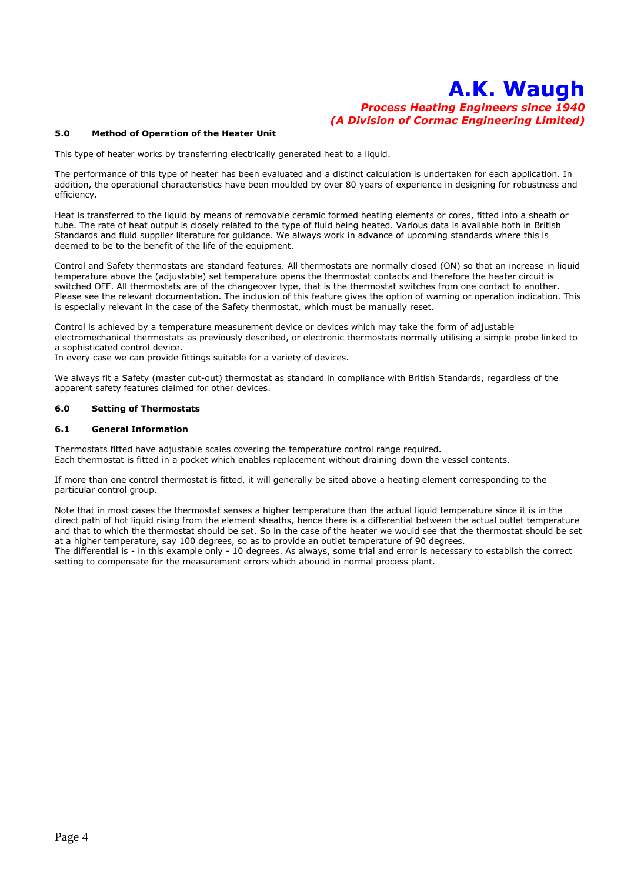#### **5.0 Method of Operation of the Heater Unit**

This type of heater works by transferring electrically generated heat to a liquid.

The performance of this type of heater has been evaluated and a distinct calculation is undertaken for each application. In addition, the operational characteristics have been moulded by over 80 years of experience in designing for robustness and efficiency.

Heat is transferred to the liquid by means of removable ceramic formed heating elements or cores, fitted into a sheath or tube. The rate of heat output is closely related to the type of fluid being heated. Various data is available both in British Standards and fluid supplier literature for guidance. We always work in advance of upcoming standards where this is deemed to be to the benefit of the life of the equipment.

Control and Safety thermostats are standard features. All thermostats are normally closed (ON) so that an increase in liquid temperature above the (adjustable) set temperature opens the thermostat contacts and therefore the heater circuit is switched OFF. All thermostats are of the changeover type, that is the thermostat switches from one contact to another. Please see the relevant documentation. The inclusion of this feature gives the option of warning or operation indication. This is especially relevant in the case of the Safety thermostat, which must be manually reset.

Control is achieved by a temperature measurement device or devices which may take the form of adjustable electromechanical thermostats as previously described, or electronic thermostats normally utilising a simple probe linked to a sophisticated control device.

In every case we can provide fittings suitable for a variety of devices.

We always fit a Safety (master cut-out) thermostat as standard in compliance with British Standards, regardless of the apparent safety features claimed for other devices.

#### **6.0 Setting of Thermostats**

#### **6.1 General Information**

Thermostats fitted have adjustable scales covering the temperature control range required. Each thermostat is fitted in a pocket which enables replacement without draining down the vessel contents.

If more than one control thermostat is fitted, it will generally be sited above a heating element corresponding to the particular control group.

Note that in most cases the thermostat senses a higher temperature than the actual liquid temperature since it is in the direct path of hot liquid rising from the element sheaths, hence there is a differential between the actual outlet temperature and that to which the thermostat should be set. So in the case of the heater we would see that the thermostat should be set at a higher temperature, say 100 degrees, so as to provide an outlet temperature of 90 degrees. The differential is - in this example only - 10 degrees. As always, some trial and error is necessary to establish the correct setting to compensate for the measurement errors which abound in normal process plant.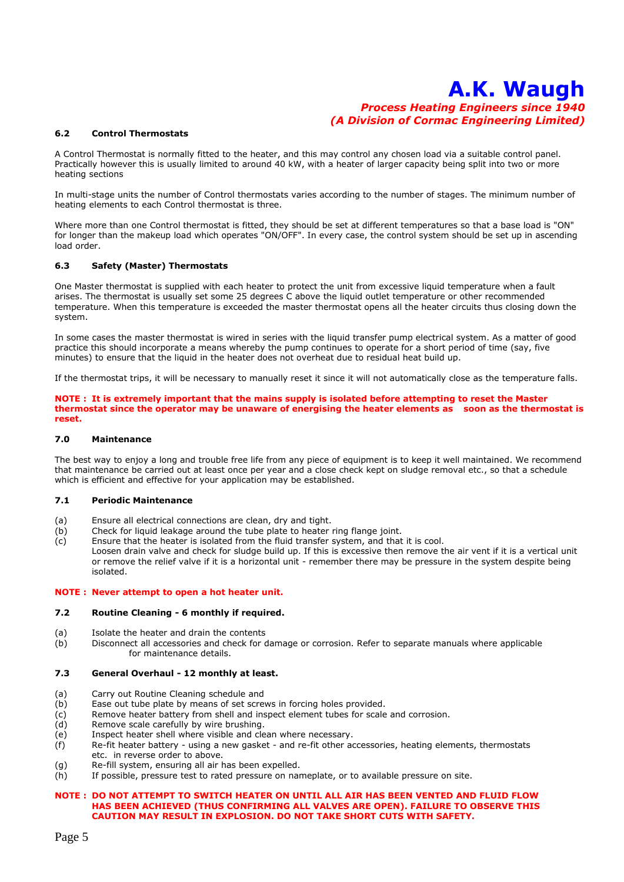#### **6.2 Control Thermostats**

A Control Thermostat is normally fitted to the heater, and this may control any chosen load via a suitable control panel. Practically however this is usually limited to around 40 kW, with a heater of larger capacity being split into two or more heating sections

In multi-stage units the number of Control thermostats varies according to the number of stages. The minimum number of heating elements to each Control thermostat is three.

Where more than one Control thermostat is fitted, they should be set at different temperatures so that a base load is "ON" for longer than the makeup load which operates "ON/OFF". In every case, the control system should be set up in ascending load order.

#### **6.3 Safety (Master) Thermostats**

One Master thermostat is supplied with each heater to protect the unit from excessive liquid temperature when a fault arises. The thermostat is usually set some 25 degrees C above the liquid outlet temperature or other recommended temperature. When this temperature is exceeded the master thermostat opens all the heater circuits thus closing down the system.

In some cases the master thermostat is wired in series with the liquid transfer pump electrical system. As a matter of good practice this should incorporate a means whereby the pump continues to operate for a short period of time (say, five minutes) to ensure that the liquid in the heater does not overheat due to residual heat build up.

If the thermostat trips, it will be necessary to manually reset it since it will not automatically close as the temperature falls.

**NOTE : It is extremely important that the mains supply is isolated before attempting to reset the Master thermostat since the operator may be unaware of energising the heater elements as soon as the thermostat is reset.**

#### **7.0 Maintenance**

The best way to enjoy a long and trouble free life from any piece of equipment is to keep it well maintained. We recommend that maintenance be carried out at least once per year and a close check kept on sludge removal etc., so that a schedule which is efficient and effective for your application may be established.

#### **7.1 Periodic Maintenance**

- (a) Ensure all electrical connections are clean, dry and tight.
- (b) Check for liquid leakage around the tube plate to heater ring flange joint.
- (c) Ensure that the heater is isolated from the fluid transfer system, and that it is cool.
- Loosen drain valve and check for sludge build up. If this is excessive then remove the air vent if it is a vertical unit or remove the relief valve if it is a horizontal unit - remember there may be pressure in the system despite being isolated.

#### **NOTE : Never attempt to open a hot heater unit.**

#### **7.2 Routine Cleaning - 6 monthly if required.**

- (a) Isolate the heater and drain the contents
- (b) Disconnect all accessories and check for damage or corrosion. Refer to separate manuals where applicable for maintenance details.

#### **7.3 General Overhaul - 12 monthly at least.**

- (a) Carry out Routine Cleaning schedule and
- (b) Ease out tube plate by means of set screws in forcing holes provided.
- (c) Remove heater battery from shell and inspect element tubes for scale and corrosion.
- (d) Remove scale carefully by wire brushing.
- (e) Inspect heater shell where visible and clean where necessary.<br>(f) Re-fit heater battery using a new gasket and re-fit other ac
- Re-fit heater battery using a new gasket and re-fit other accessories, heating elements, thermostats etc. in reverse order to above.
- (g) Re-fill system, ensuring all air has been expelled.
- (h) If possible, pressure test to rated pressure on nameplate, or to available pressure on site.

#### **NOTE : DO NOT ATTEMPT TO SWITCH HEATER ON UNTIL ALL AIR HAS BEEN VENTED AND FLUID FLOW HAS BEEN ACHIEVED (THUS CONFIRMING ALL VALVES ARE OPEN). FAILURE TO OBSERVE THIS CAUTION MAY RESULT IN EXPLOSION. DO NOT TAKE SHORT CUTS WITH SAFETY.**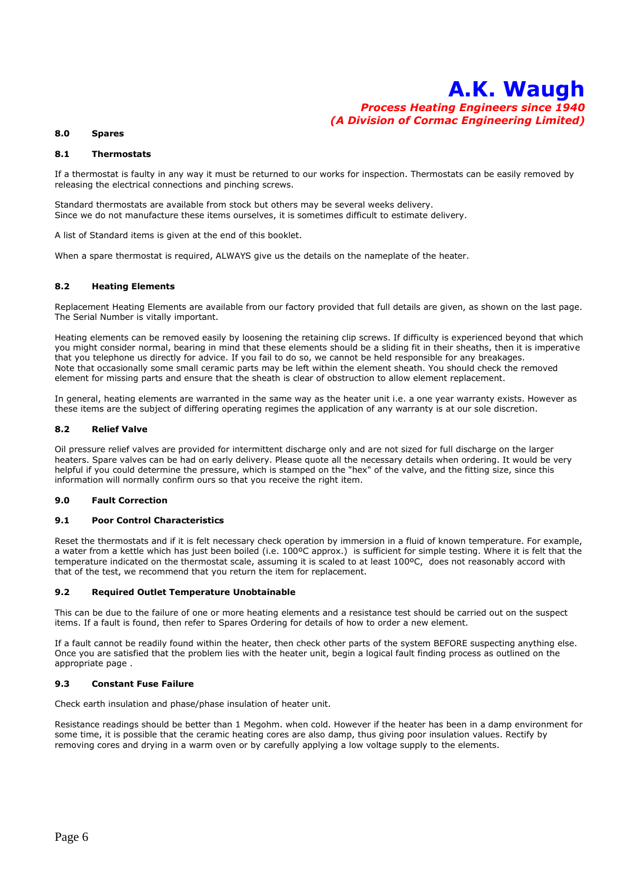#### **8.0 Spares**

#### **8.1 Thermostats**

If a thermostat is faulty in any way it must be returned to our works for inspection. Thermostats can be easily removed by releasing the electrical connections and pinching screws.

Standard thermostats are available from stock but others may be several weeks delivery. Since we do not manufacture these items ourselves, it is sometimes difficult to estimate delivery.

A list of Standard items is given at the end of this booklet.

When a spare thermostat is required, ALWAYS give us the details on the nameplate of the heater.

#### **8.2 Heating Elements**

Replacement Heating Elements are available from our factory provided that full details are given, as shown on the last page. The Serial Number is vitally important.

Heating elements can be removed easily by loosening the retaining clip screws. If difficulty is experienced beyond that which you might consider normal, bearing in mind that these elements should be a sliding fit in their sheaths, then it is imperative that you telephone us directly for advice. If you fail to do so, we cannot be held responsible for any breakages. Note that occasionally some small ceramic parts may be left within the element sheath. You should check the removed element for missing parts and ensure that the sheath is clear of obstruction to allow element replacement.

In general, heating elements are warranted in the same way as the heater unit i.e. a one year warranty exists. However as these items are the subject of differing operating regimes the application of any warranty is at our sole discretion.

#### **8.2 Relief Valve**

Oil pressure relief valves are provided for intermittent discharge only and are not sized for full discharge on the larger heaters. Spare valves can be had on early delivery. Please quote all the necessary details when ordering. It would be very helpful if you could determine the pressure, which is stamped on the "hex" of the valve, and the fitting size, since this information will normally confirm ours so that you receive the right item.

#### **9.0 Fault Correction**

#### **9.1 Poor Control Characteristics**

Reset the thermostats and if it is felt necessary check operation by immersion in a fluid of known temperature. For example, a water from a kettle which has just been boiled (i.e. 100ºC approx.) is sufficient for simple testing. Where it is felt that the temperature indicated on the thermostat scale, assuming it is scaled to at least 100ºC, does not reasonably accord with that of the test, we recommend that you return the item for replacement.

#### **9.2 Required Outlet Temperature Unobtainable**

This can be due to the failure of one or more heating elements and a resistance test should be carried out on the suspect items. If a fault is found, then refer to Spares Ordering for details of how to order a new element.

If a fault cannot be readily found within the heater, then check other parts of the system BEFORE suspecting anything else. Once you are satisfied that the problem lies with the heater unit, begin a logical fault finding process as outlined on the appropriate page .

#### **9.3 Constant Fuse Failure**

Check earth insulation and phase/phase insulation of heater unit.

Resistance readings should be better than 1 Megohm. when cold. However if the heater has been in a damp environment for some time, it is possible that the ceramic heating cores are also damp, thus giving poor insulation values. Rectify by removing cores and drying in a warm oven or by carefully applying a low voltage supply to the elements.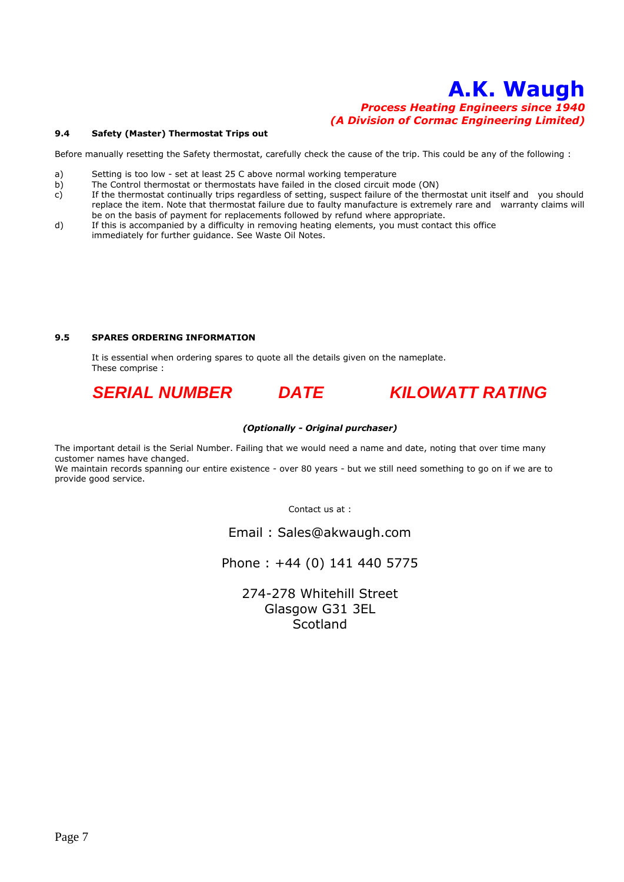#### **9.4 Safety (Master) Thermostat Trips out**

Before manually resetting the Safety thermostat, carefully check the cause of the trip. This could be any of the following :

- a) Setting is too low set at least 25 C above normal working temperature
- b) The Control thermostat or thermostats have failed in the closed circuit mode (ON)
- c) If the thermostat continually trips regardless of setting, suspect failure of the thermostat unit itself and you should replace the item. Note that thermostat failure due to faulty manufacture is extremely rare and warranty claims will be on the basis of payment for replacements followed by refund where appropriate.
- d) If this is accompanied by a difficulty in removing heating elements, you must contact this office immediately for further guidance. See Waste Oil Notes.

#### **9.5 SPARES ORDERING INFORMATION**

It is essential when ordering spares to quote all the details given on the nameplate. These comprise :



#### *(Optionally - Original purchaser)*

The important detail is the Serial Number. Failing that we would need a name and date, noting that over time many customer names have changed.

We maintain records spanning our entire existence - over 80 years - but we still need something to go on if we are to provide good service.

Contact us at :

Email : Sales@akwaugh.com

Phone : +44 (0) 141 440 5775

274-278 Whitehill Street Glasgow G31 3EL **Scotland**